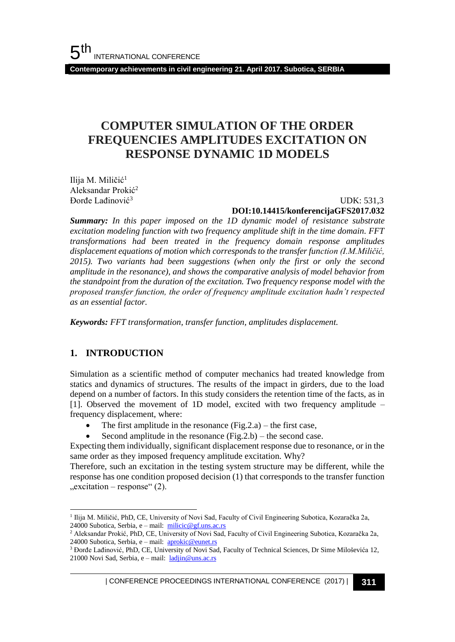**Contemporary achievements in civil engineering 21. April 2017. Subotica, SERBIA**

# **COMPUTER SIMULATION OF THE ORDER FREQUENCIES AMPLITUDES EXCITATION ON RESPONSE DYNAMIC 1D MODELS**

Ilija M. Miličić<sup>1</sup> Aleksandar Prokić<sup>2</sup> Đorđe Lađinović<sup>3</sup>

UDK: 531,3

#### **DOI:10.14415/konferencijaGFS2017.032**

*Summary: In this paper imposed on the 1D dynamic model of resistance substrate excitation modeling function with two frequency amplitude shift in the time domain. FFT transformations had been treated in the frequency domain response amplitudes displacement equations of motion which corresponds to the transfer function (I.M.Miličić, 2015). Two variants had been suggestions (when only the first or only the second amplitude in the resonance), and shows the comparative analysis of model behavior from the standpoint from the duration of the excitation. Two frequency response model with the proposed transfer function, the order of frequency amplitude excitation hadn't respected as an essential factor.*

*Keywords: FFT transformation, transfer function, amplitudes displacement.*

# **1. INTRODUCTION**

Simulation as a scientific method of computer mechanics had treated knowledge from statics and dynamics of structures. The results of the impact in girders, due to the load depend on a number of factors. In this study considers the retention time of the facts, as in [1]. Observed the movement of 1D model, excited with two frequency amplitude – frequency displacement, where:

- The first amplitude in the resonance  $(Fig.2.a)$  the first case,
- Second amplitude in the resonance  $(Fig.2.b)$  the second case.

Expecting them individually, significant displacement response due to resonance, or in the same order as they imposed frequency amplitude excitation. Why?

Therefore, such an excitation in the testing system structure may be different, while the response has one condition proposed decision (1) that corresponds to the transfer function  $,$ excitation – response" (2).

l <sup>1</sup> Ilija M. Miličić, PhD, CE, University of Novi Sad, Faculty of Civil Engineering Subotica, Kozaračka 2a, 24000 Subotica, Serbia, e – mail: [milicic@gf.uns.ac.rs](mailto:milicic@gf.uns.ac.rs)

<sup>2</sup> Aleksandar Prokić, PhD, CE, University of Novi Sad, Faculty of Civil Engineering Subotica, Kozaračka 2a, 24000 Subotica, Serbia, e – mail:  $\frac{\text{aprobic@eunet.rs}}{\text{aprobic@eunet.rs}}$ 

<sup>&</sup>lt;sup>3</sup> Đorđe Lađinović, PhD, CE, University of Novi Sad, Faculty of Technical Sciences, Dr Sime Miloševića 12, 21000 Novi Sad, Serbia, e – mail: *[ladjin@uns.ac.rs](mailto:ladjin@uns.ac.rs)*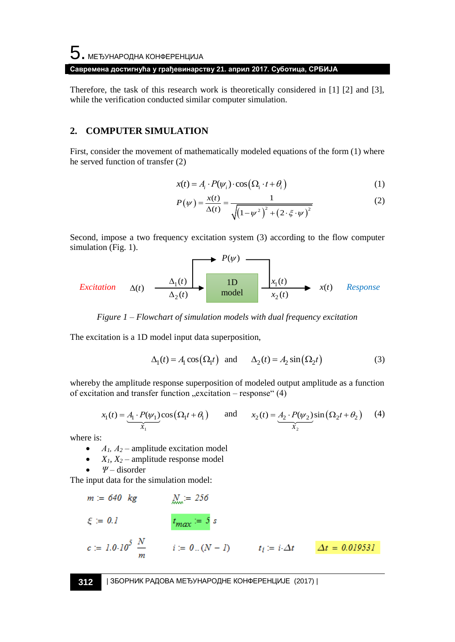# ${\bf 5}$ . међународна конференција **Савремена достигнућа у грађевинарству 21. април 2017. Суботица, СРБИЈА**

Therefore, the task of this research work is theoretically considered in [1] [2] and [3], while the verification conducted similar computer simulation.

# **2. COMPUTER SIMULATION**

First, consider the movement of mathematically modeled equations of the form (1) where he served function of transfer (2)

$$
x(t) = A_i \cdot P(\psi_i) \cdot \cos\left(\Omega_i \cdot t + \theta_i\right) \tag{1}
$$

$$
P(\psi) = \frac{x(t)}{\Delta(t)} = \frac{1}{\sqrt{(1 - \psi^2)^2 + (2 \cdot \xi \cdot \psi)^2}}
$$
(1)

Second, impose a two frequency excitation system (3) according to the flow computer simulation (Fig. 1). *P*( )

$$
Excitation \quad \Delta(t) \quad \xrightarrow{\Delta_1(t)} \quad \text{nodel} \quad \xrightarrow{x_1(t)} \quad x(t) \quad \text{Response}
$$

*Figure 1 – Flowchart of simulation models with dual frequency excitation*

The excitation is a 1D model input data superposition,

$$
\Delta_1(t) = A_1 \cos(\Omega_1 t) \text{ and } \Delta_2(t) = A_2 \sin(\Omega_2 t) \tag{3}
$$

whereby the amplitude response superposition of modeled output amplitude as a function of excitation and transfer function  $,$  excitation – response" (4)

$$
x_1(t) = \underbrace{A_1 \cdot P(\psi_1)}_{X_1} \cos(\Omega_1 t + \theta_1) \quad \text{and} \quad x_2(t) = \underbrace{A_2 \cdot P(\psi_2)}_{X_2} \sin(\Omega_2 t + \theta_2) \quad (4)
$$

where is:

- $A_1$ ,  $A_2$  amplitude excitation model
- $X_1, X_2$  amplitude response model
- *Ψ* disorder

The input data for the simulation model:

$$
m := 640 \text{ kg}
$$
  $\frac{N}{256}$   
\n $\xi := 0.1$   $t_{max} = 5 s$   
\n $c := 1.0.10^5 \frac{N}{m}$   $i := 0..(N - 1)$   $t_i := i \Delta t$   $\Delta t = 0.019531$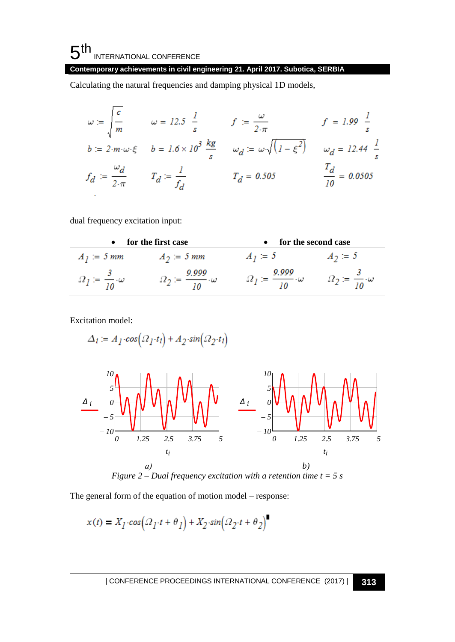# **Contemporary achievements in civil engineering 21. April 2017. Subotica, SERBIA**

Calculating the natural frequencies and damping physical 1D models,

$$
\omega := \begin{cases}\n\frac{c}{m} & \omega = 12.5 \frac{1}{s} & f := \frac{\omega}{2 \cdot \pi} & f = 1.99 \frac{1}{s} \\
b := 2 \cdot m \cdot \omega \cdot \xi & b = 1.6 \times 10^3 \frac{kg}{s} & \omega_d := \omega \cdot \sqrt{(1 - \xi^2)} & \omega_d = 12.44 \frac{1}{s} \\
f_d := \frac{\omega_d}{2 \cdot \pi} & T_d := \frac{1}{f_d} & T_d = 0.505 & \frac{T_d}{10} = 0.0505\n\end{cases}
$$

dual frequency excitation input:

| for the first case |                                | for the second case |           |  |
|--------------------|--------------------------------|---------------------|-----------|--|
| $A_1 = 5$ mm       | $A_2 = 5$ mm                   | $A_1 = 3$           | $A_2 = 3$ |  |
|                    | 9.999<br>$-\!-\!\cdot\!\omega$ | 9.999<br>—— ∙ω      |           |  |

Excitation model:

$$
\varDelta_i := A_{I} \cdot cos(\varOmega_{I} \cdot t_{i}) + A_{2} \cdot sin(\varOmega_{2} \cdot t_{i})
$$



The general form of the equation of motion model – response:

$$
x(t) = X_I \cdot cos(\Omega_I \cdot t + \theta_I) + X_2 \cdot sin(\Omega_2 \cdot t + \theta_2)
$$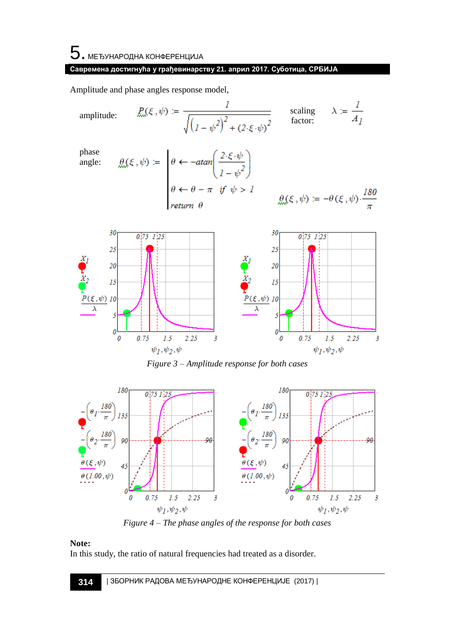### **Савремена достигнућа у грађевинарству 21. април 2017. Суботица, СРБИЈА**

Amplitude and phase angles response model,

amplitude:  
\n
$$
\mathcal{P}(\xi, \psi) := \frac{1}{\sqrt{(1 - \psi^2)^2 + (2 \cdot \xi \cdot \psi)^2}}
$$
\n
$$
\text{phase}
$$
\nangle:  
\n
$$
\mathcal{P}(\xi, \psi) := \begin{vmatrix}\n\theta & \leftarrow -\text{atan}\left(\frac{2 \cdot \xi \cdot \psi}{1 - \psi^2}\right) \\
\theta & \leftarrow \theta - \pi & \text{if } \psi > 1\n\end{vmatrix}
$$
\n
$$
\mathcal{P}(\xi, \psi) := -\theta(\xi, \psi) \cdot \frac{180}{\pi}
$$
\n
$$
\mathcal{P}(\xi, \psi) := -\theta(\xi, \psi) \cdot \frac{180}{\pi}
$$
\n
$$
\mathcal{P}(\xi, \psi) = \frac{180}{\pi}
$$
\n
$$
\mathcal{P}(\xi, \psi) = \frac{180}{\pi}
$$
\n
$$
\mathcal{P}(\xi, \psi) = \frac{180}{\pi}
$$
\n
$$
\mathcal{P}(\xi, \psi) = \frac{180}{\pi}
$$
\n
$$
\mathcal{P}(\xi, \psi) = \frac{180}{\pi}
$$
\n
$$
\mathcal{P}(\xi, \psi) = \frac{180}{\pi}
$$
\n
$$
\mathcal{P}(\xi, \psi) = \frac{180}{\pi}
$$
\n
$$
\mathcal{P}(\xi, \psi) = \frac{180}{\pi}
$$
\n
$$
\mathcal{P}(\xi, \psi) = \frac{180}{\pi}
$$



*Figure 3 – Amplitude response for both cases*



*Figure 4 – The phase angles of the response for both cases*

### **Note:**

In this study, the ratio of natural frequencies had treated as a disorder.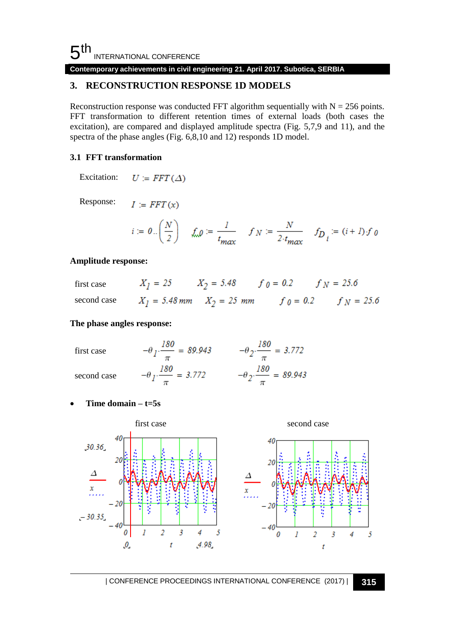**Contemporary achievements in civil engineering 21. April 2017. Subotica, SERBIA**

# **3. RECONSTRUCTION RESPONSE 1D MODELS**

Reconstruction response was conducted FFT algorithm sequentially with  $N = 256$  points. FFT transformation to different retention times of external loads (both cases the excitation), are compared and displayed amplitude spectra (Fig. 5,7,9 and 11), and the spectra of the phase angles (Fig. 6,8,10 and 12) responds 1D model.

#### **3.1 FFT transformation**

Excitation:  $U = FFT(\Delta)$ 

Response:  $I = FFT(x)$ 

$$
i := 0 \cdot \left(\frac{N}{2}\right) \quad \text{and} \quad \frac{l}{t_{\text{max}}} \quad f_N := \frac{N}{2 \cdot t_{\text{max}}} \quad f_{\text{D}_i} := (i + 1) \cdot f_0
$$

#### **Amplitude response:**

| first case | $X_1 = 25$ $X_2 = 5.48$ $f \t0 = 0.2$ $f \t N = 25.6$ |                                                                                    |
|------------|-------------------------------------------------------|------------------------------------------------------------------------------------|
|            |                                                       | second case $X_1 = 5.48 \text{ mm}$ $X_2 = 25 \text{ mm}$ $f_0 = 0.2$ $f_N = 25.6$ |

#### **The phase angles response:**

| first case  | 180<br>$\frac{100}{100}$ = 89.943 | $= 3.772$                                 |
|-------------|-----------------------------------|-------------------------------------------|
| second case | $\frac{100}{100}$ = 3.772         | $- \theta_2 \cdot \frac{180}{ } = 89.943$ |

• **Time domain – t=5s**

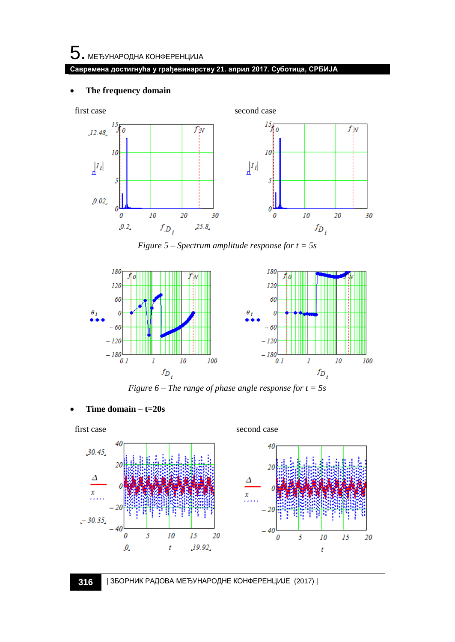$5$ . међународна конференција

#### **Савремена достигнућа у грађевинарству 21. април 2017. Суботица, СРБИЈА**

#### The frequency domain



*Figure 5 – Spectrum amplitude response for t = 5s*



*Figure 6 – The range of phase angle response for t = 5s*

• **Time domain – t=20s**

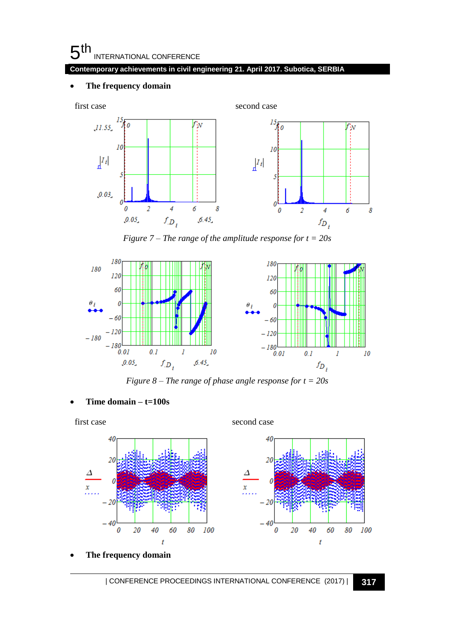#### **Contemporary achievements in civil engineering 21. April 2017. Subotica, SERBIA**

#### • **The frequency domain**



*Figure 7 – The range of the amplitude response for t = 20s*



*Figure 8 – The range of phase angle response for t = 20s*

• **Time domain – t=100s**



• **The frequency domain**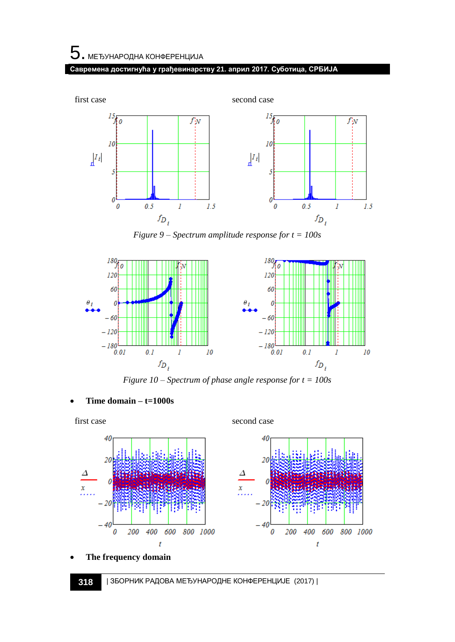

*Figure 9 – Spectrum amplitude response for t = 100s*



*Figure 10 – Spectrum of phase angle response for t = 100s*

• **Time domain – t=1000s**



• **The frequency domain**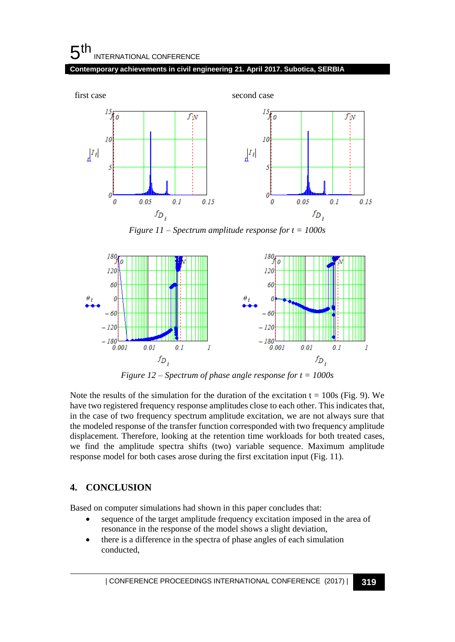#### **Contemporary achievements in civil engineering 21. April 2017. Subotica, SERBIA**



*Figure 11 – Spectrum amplitude response for t = 1000s*



*Figure 12 – Spectrum of phase angle response for t = 1000s*

Note the results of the simulation for the duration of the excitation  $t = 100s$  (Fig. 9). We have two registered frequency response amplitudes close to each other. This indicates that, in the case of two frequency spectrum amplitude excitation, we are not always sure that the modeled response of the transfer function corresponded with two frequency amplitude displacement. Therefore, looking at the retention time workloads for both treated cases, we find the amplitude spectra shifts (two) variable sequence. Maximum amplitude response model for both cases arose during the first excitation input (Fig. 11).

# **4. CONCLUSION**

Based on computer simulations had shown in this paper concludes that:

- sequence of the target amplitude frequency excitation imposed in the area of resonance in the response of the model shows a slight deviation,
- there is a difference in the spectra of phase angles of each simulation conducted,